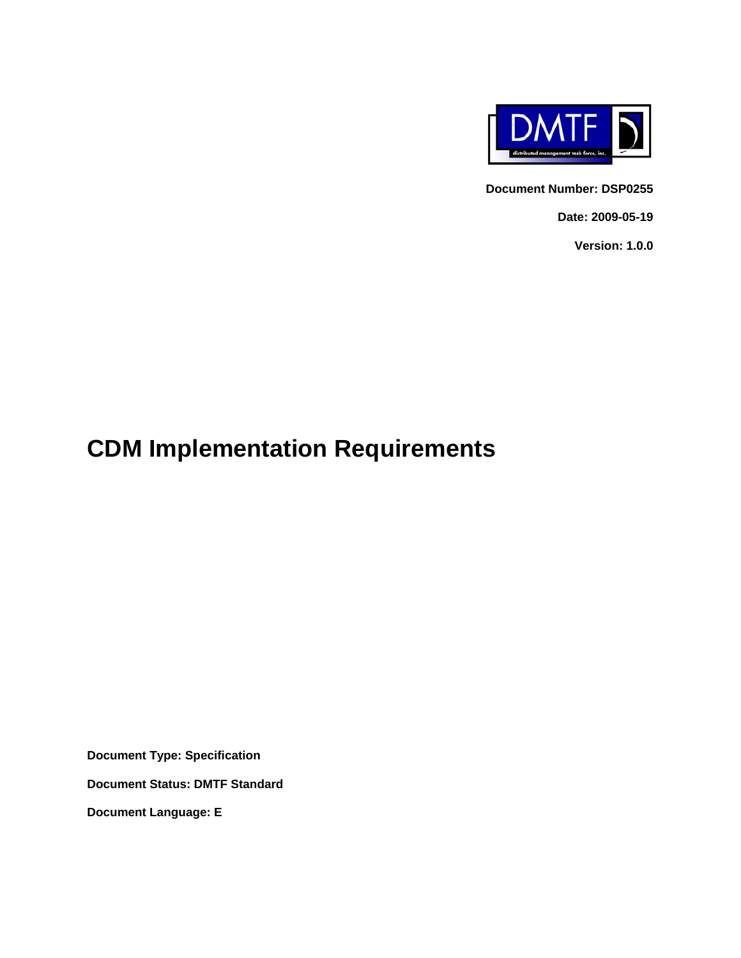

**Document Number: DSP0255** 

**Date: 2009-05-19** 

**Version: 1.0.0** 

# **CDM Implementation Requirements**

**Document Type: Specification** 

**Document Status: DMTF Standard** 

**Document Language: E**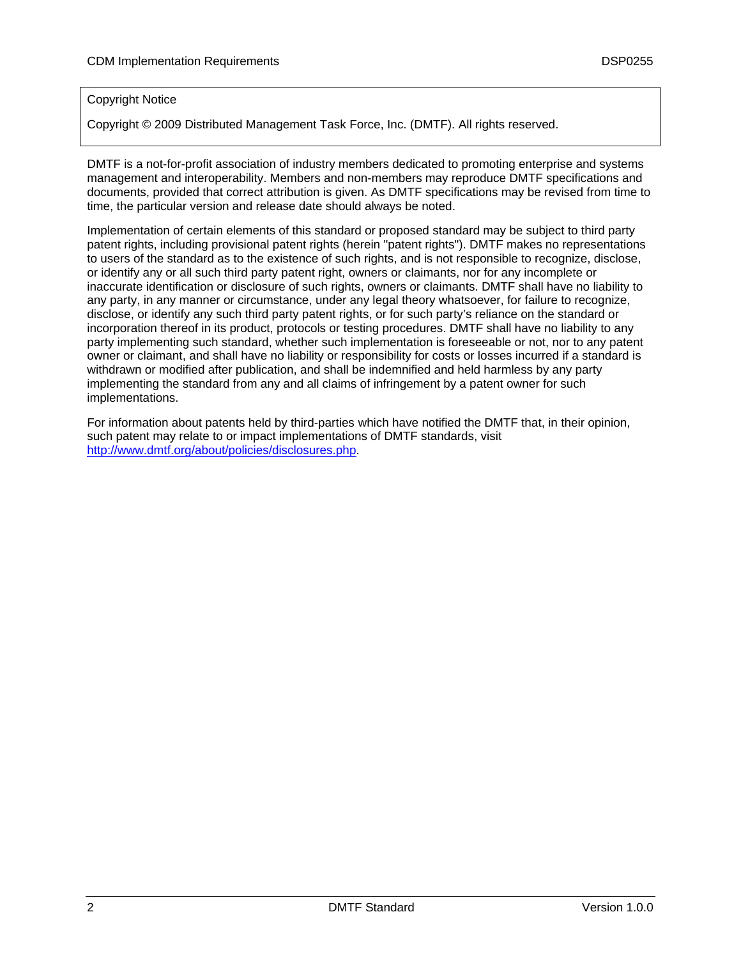#### Copyright Notice

Copyright © 2009 Distributed Management Task Force, Inc. (DMTF). All rights reserved.

DMTF is a not-for-profit association of industry members dedicated to promoting enterprise and systems management and interoperability. Members and non-members may reproduce DMTF specifications and documents, provided that correct attribution is given. As DMTF specifications may be revised from time to time, the particular version and release date should always be noted.

Implementation of certain elements of this standard or proposed standard may be subject to third party patent rights, including provisional patent rights (herein "patent rights"). DMTF makes no representations to users of the standard as to the existence of such rights, and is not responsible to recognize, disclose, or identify any or all such third party patent right, owners or claimants, nor for any incomplete or inaccurate identification or disclosure of such rights, owners or claimants. DMTF shall have no liability to any party, in any manner or circumstance, under any legal theory whatsoever, for failure to recognize, disclose, or identify any such third party patent rights, or for such party's reliance on the standard or incorporation thereof in its product, protocols or testing procedures. DMTF shall have no liability to any party implementing such standard, whether such implementation is foreseeable or not, nor to any patent owner or claimant, and shall have no liability or responsibility for costs or losses incurred if a standard is withdrawn or modified after publication, and shall be indemnified and held harmless by any party implementing the standard from any and all claims of infringement by a patent owner for such implementations.

For information about patents held by third-parties which have notified the DMTF that, in their opinion, such patent may relate to or impact implementations of DMTF standards, visit <http://www.dmtf.org/about/policies/disclosures.php>.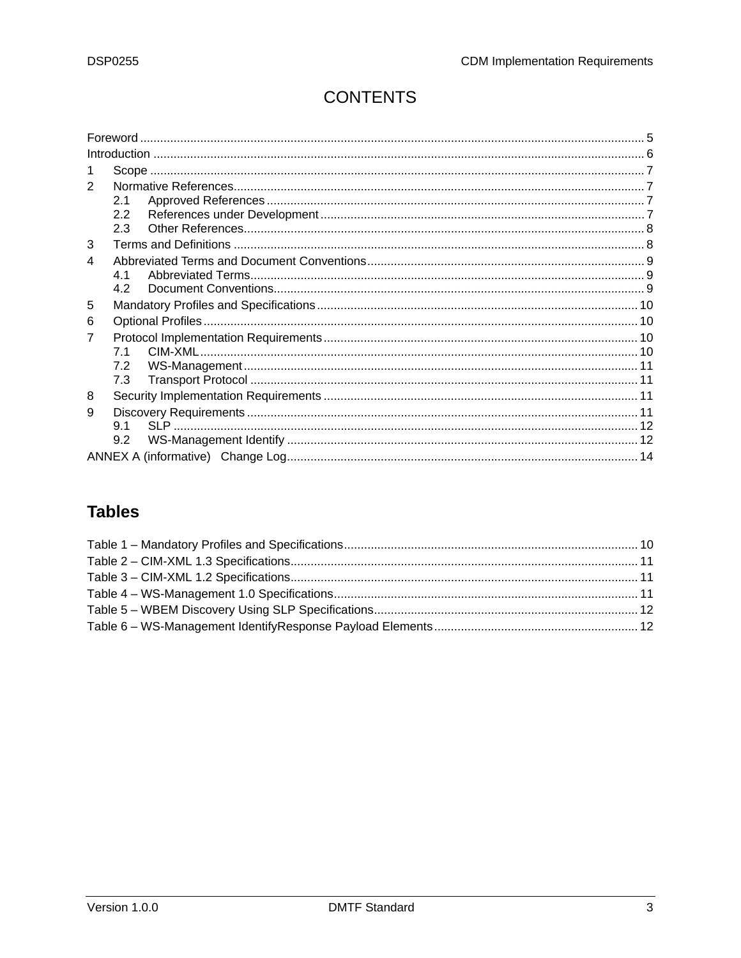## **CONTENTS**

| Foreword |  |
|----------|--|
|          |  |
|          |  |
| 2        |  |
| 2.1      |  |
| 2.2      |  |
| 2.3      |  |
| 3        |  |
| 4        |  |
| 41       |  |
| 42       |  |
| 5        |  |
| 6        |  |
| 7        |  |
| 7.1      |  |
| 7.2      |  |
| 7.3      |  |
| 8        |  |
| 9        |  |
| 9.1      |  |
| 9.2      |  |
|          |  |

### **Tables**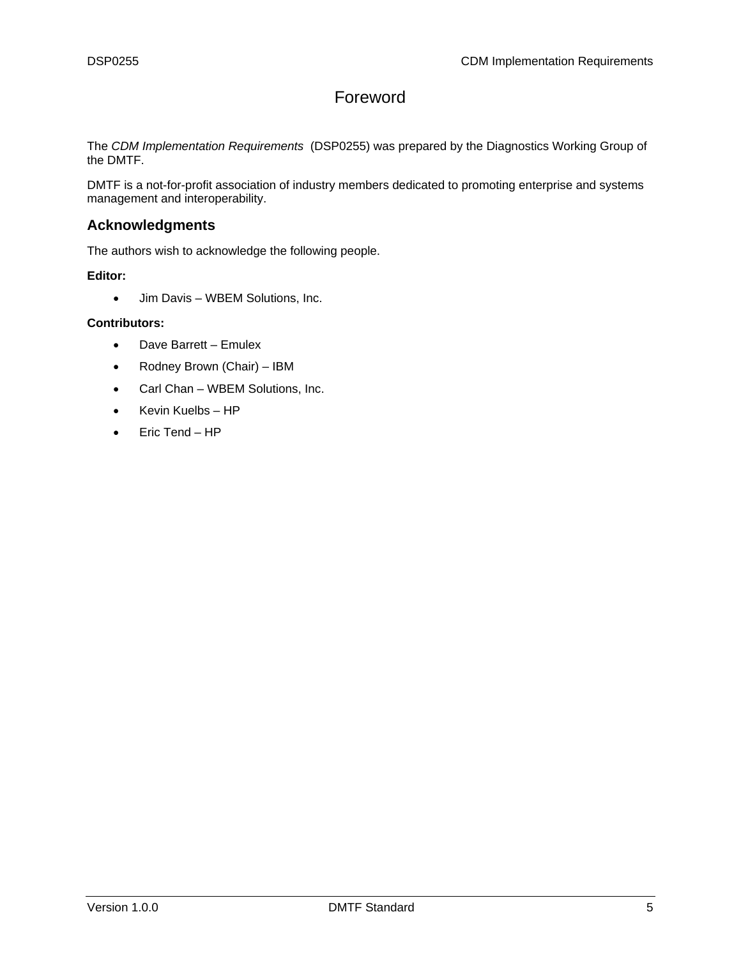### Foreword

<span id="page-4-0"></span>The *CDM Implementation Requirements* (DSP0255) was prepared by the Diagnostics Working Group of the DMTF.

DMTF is a not-for-profit association of industry members dedicated to promoting enterprise and systems management and interoperability.

### **Acknowledgments**

The authors wish to acknowledge the following people.

**Editor:** 

• Jim Davis – WBEM Solutions, Inc.

#### **Contributors:**

- Dave Barrett Emulex
- Rodney Brown (Chair) IBM
- Carl Chan WBEM Solutions, Inc.
- Kevin Kuelbs HP
- Eric Tend HP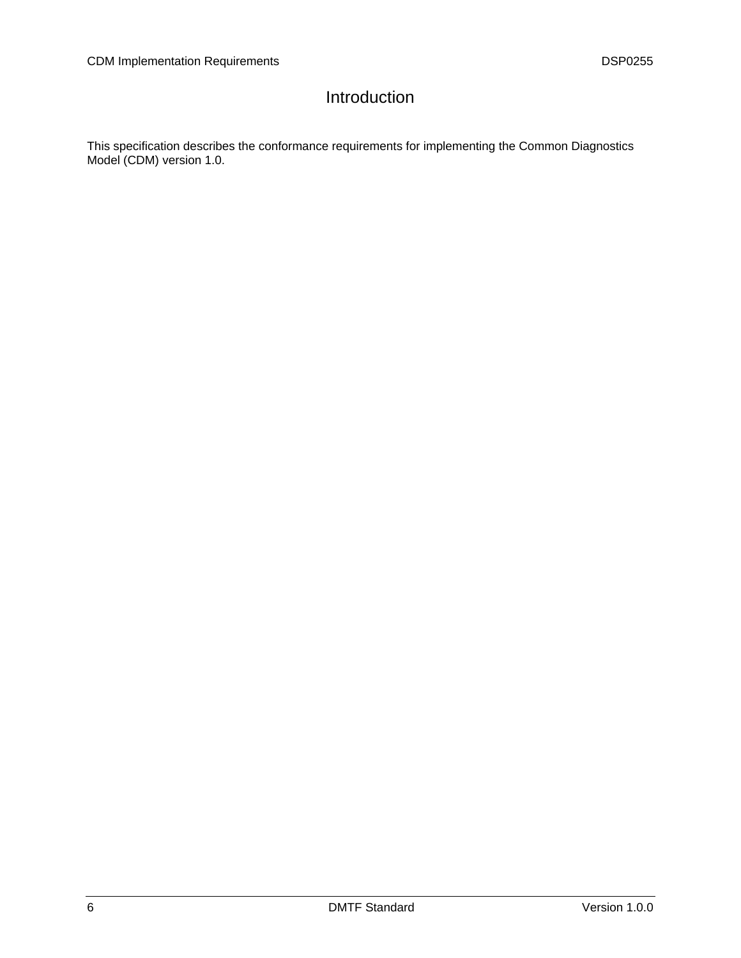### Introduction

<span id="page-5-0"></span>This specification describes the conformance requirements for implementing the Common Diagnostics Model (CDM) version 1.0.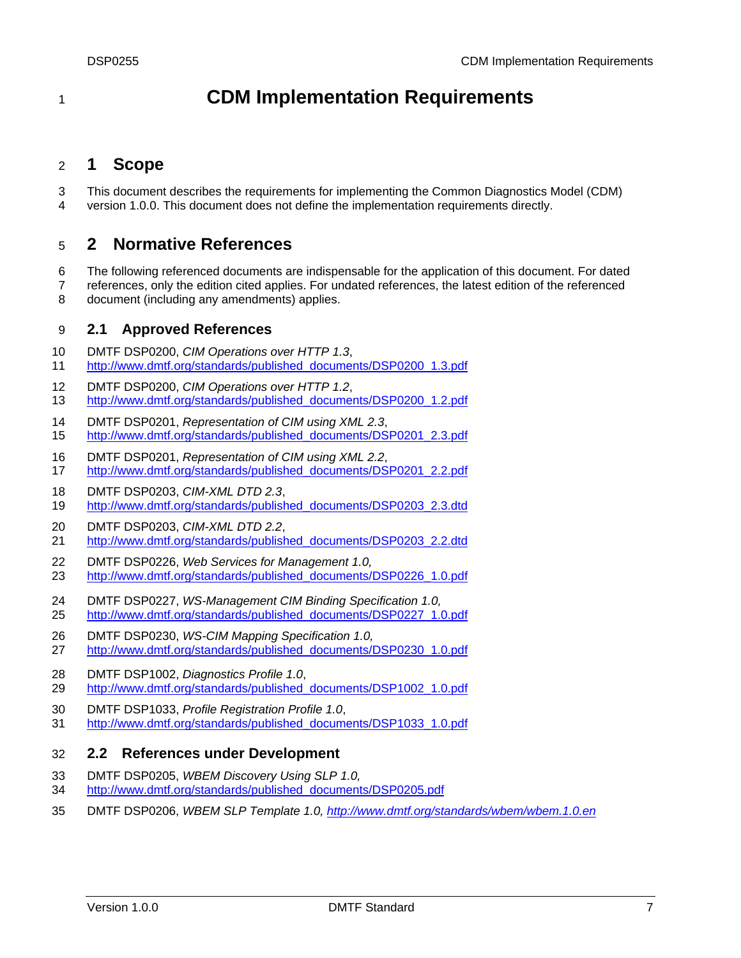## <span id="page-6-0"></span><sup>1</sup>**CDM Implementation Requirements**

### 2 **1 Scope**

3 4 This document describes the requirements for implementing the Common Diagnostics Model (CDM) version 1.0.0. This document does not define the implementation requirements directly.

### 5 **2 Normative References**

6 7 8 The following referenced documents are indispensable for the application of this document. For dated references, only the edition cited applies. For undated references, the latest edition of the referenced document (including any amendments) applies.

### 9 **2.1 Approved References**

- 10 DMTF DSP0200, *CIM Operations over HTTP 1.3*,
- 11 [http://www.dmtf.org/standards/published\\_documents/DSP0200\\_1.3.pdf](http://www.dmtf.org/standards/published_documents/DSP0200_1.3.pdf)
- 12 DMTF DSP0200, *CIM Operations over HTTP 1.2*,
- 13 [http://www.dmtf.org/standards/published\\_documents/DSP0200\\_1.2.pdf](http://www.dmtf.org/standards/published_documents/DSP0200_1.2.pdf)
- 14 DMTF DSP0201, *Representation of CIM using XML 2.3*, 15 [http://www.dmtf.org/standards/published\\_documents/DSP0201\\_2.3.pdf](http://www.dmtf.org/standards/published_documents/DSP0201_2.3.pdf)
- 16 DMTF DSP0201, *Representation of CIM using XML 2.2*,
- 17 [http://www.dmtf.org/standards/published\\_documents/DSP0201\\_2.2.pdf](http://www.dmtf.org/standards/published_documents/DSP0201_2.2.pdf)
- 18 DMTF DSP0203, *CIM-XML DTD 2.3*,
- 19 [http://www.dmtf.org/standards/published\\_documents/DSP0203\\_2.3.dtd](http://www.dmtf.org/standards/published_documents/DSP0203_2.3.dtd)
- 20 DMTF DSP0203, *CIM-XML DTD 2.2*,
- 21 [http://www.dmtf.org/standards/published\\_documents/DSP0203\\_2.2.dtd](http://www.dmtf.org/standards/published_documents/DSP0203_2.2.dtd)
- 22 DMTF DSP0226, *Web Services for Management 1.0,*
- 23 [http://www.dmtf.org/standards/published\\_documents/DSP0226\\_1.0.pdf](http://www.dmtf.org/standards/published_documents/DSP0226_1.0.pdf)
- 24 DMTF DSP0227, *WS-Management CIM Binding Specification 1.0,*  25 [http://www.dmtf.org/standards/published\\_documents/DSP0227\\_1.0.pdf](http://www.dmtf.org/standards/published_documents/DSP0227_1.0.pdf)
- 26 DMTF DSP0230, *WS-CIM Mapping Specification 1.0,*
- 27 [http://www.dmtf.org/standards/published\\_documents/DSP0230\\_1.0.pdf](http://www.dmtf.org/standards/published_documents/DSP0230_1.0.pdf)
- 28 DMTF DSP1002, *Diagnostics Profile 1.0*,
- 29 [http://www.dmtf.org/standards/published\\_documents/DSP1002\\_1.0.pdf](http://www.dmtf.org/standards/published_documents/DSP1002_1.0.pdf)
- 30 DMTF DSP1033, *Profile Registration Profile 1.0*,
- 31 [http://www.dmtf.org/standards/published\\_documents/DSP1033\\_1.0.pdf](http://www.dmtf.org/standards/published_documents/DSP1033_1.0.pdf)

### 32 **2.2 References under Development**

- 33 DMTF DSP0205, *WBEM Discovery Using SLP 1.0,*
- 34 [http://www.dmtf.org/standards/published\\_documents/DSP0205.pdf](http://www.dmtf.org/standards/published_documents/DSP0205.pdf)
- 35 DMTF DSP0206, *WBEM SLP Template 1.0,<http://www.dmtf.org/standards/wbem/wbem.1.0.en>*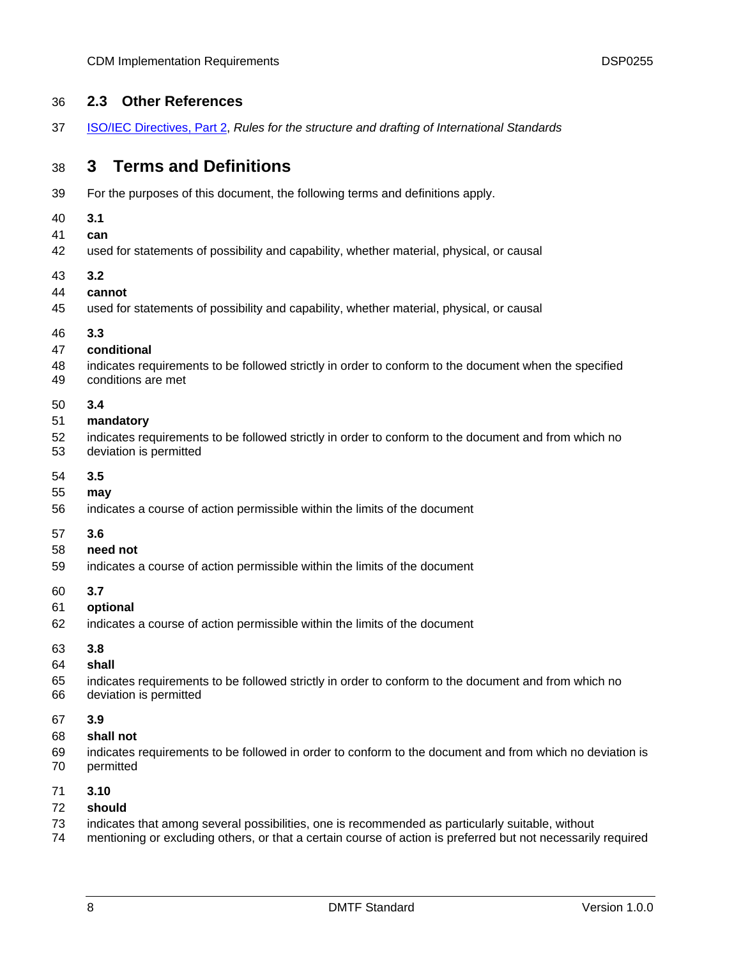### <span id="page-7-0"></span>36 **2.3 Other References**

37 [ISO/IEC Directives, Part 2,](http://isotc.iso.org/livelink/livelink.exe?func=ll&objId=4230456&objAction=browse&sort=subtype) *Rules for the structure and drafting of International Standards* 

### 38 **3 Terms and Definitions**

- 39 For the purposes of this document, the following terms and definitions apply.
- 40 **3.1**
- 41 **can**
- 42 used for statements of possibility and capability, whether material, physical, or causal
- 43 **3.2**
- 44 **cannot**
- 45 used for statements of possibility and capability, whether material, physical, or causal
- 46 **3.3**

#### 47 **conditional**

- 48 49 indicates requirements to be followed strictly in order to conform to the document when the specified conditions are met
- 50 **3.4**

#### 51 **mandatory**

- 52 indicates requirements to be followed strictly in order to conform to the document and from which no
- 53 deviation is permitted
- 54 **3.5**
- 55 **may**
- 56 indicates a course of action permissible within the limits of the document
- 57 **3.6**
- 58 **need not**
- 59 indicates a course of action permissible within the limits of the document
- 60 **3.7**
- 61 **optional**
- 62 indicates a course of action permissible within the limits of the document
- 63 **3.8**
- 64 **shall**
- 65 66 indicates requirements to be followed strictly in order to conform to the document and from which no deviation is permitted
- 67 **3.9**
- 68 **shall not**
- 69 70 indicates requirements to be followed in order to conform to the document and from which no deviation is permitted
- 71 **3.10**
- 72 **should**
- 73 indicates that among several possibilities, one is recommended as particularly suitable, without
- 74 mentioning or excluding others, or that a certain course of action is preferred but not necessarily required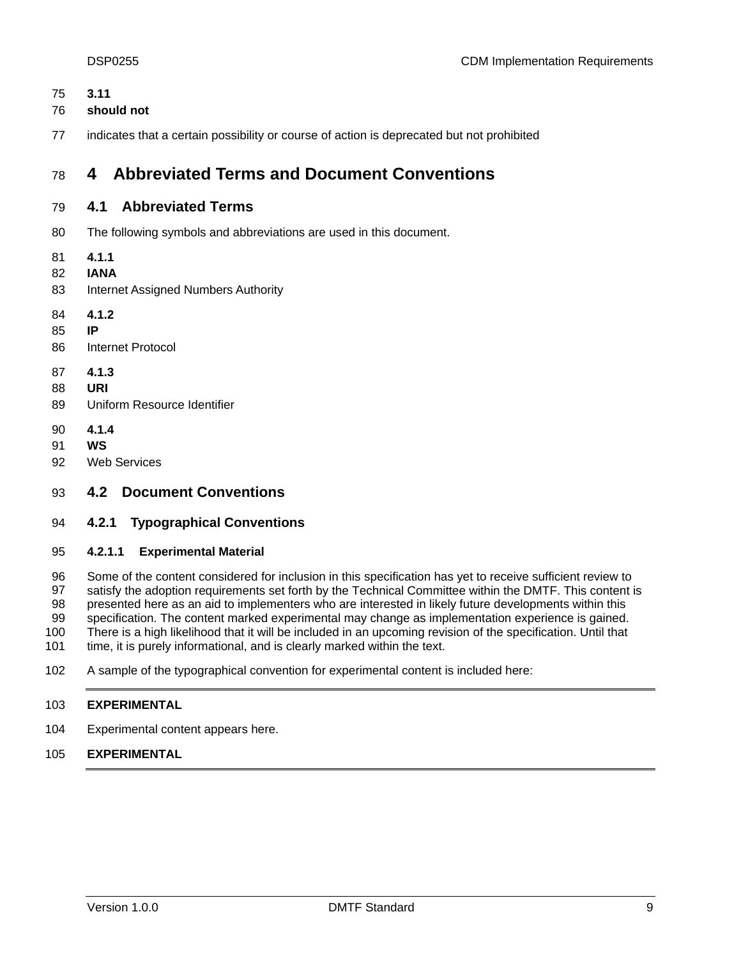<span id="page-8-0"></span>

| ı  |
|----|
| ۰, |

- 76 **should not**
- 77 indicates that a certain possibility or course of action is deprecated but not prohibited

### 78 **4 Abbreviated Terms and Document Conventions**

### 79 **4.1 Abbreviated Terms**

- 80 The following symbols and abbreviations are used in this document.
- 81 **4.1.1**
- 82 **IANA**
- 83 Internet Assigned Numbers Authority
- 84 **4.1.2**
- 85 **IP**
- 86 Internet Protocol
- 87 **4.1.3**
- 88 **URI**
- 89 Uniform Resource Identifier
- 90 **4.1.4**
- 91 **WS**
- 92 Web Services

### 93 **4.2 Document Conventions**

### 94 **4.2.1 Typographical Conventions**

#### 95 **4.2.1.1 Experimental Material**

96 97 98 99 100 101 Some of the content considered for inclusion in this specification has yet to receive sufficient review to satisfy the adoption requirements set forth by the Technical Committee within the DMTF. This content is presented here as an aid to implementers who are interested in likely future developments within this specification. The content marked experimental may change as implementation experience is gained. There is a high likelihood that it will be included in an upcoming revision of the specification. Until that time, it is purely informational, and is clearly marked within the text.

102 A sample of the typographical convention for experimental content is included here:

#### 103 **EXPERIMENTAL**

- 104 Experimental content appears here.
- 105 **EXPERIMENTAL**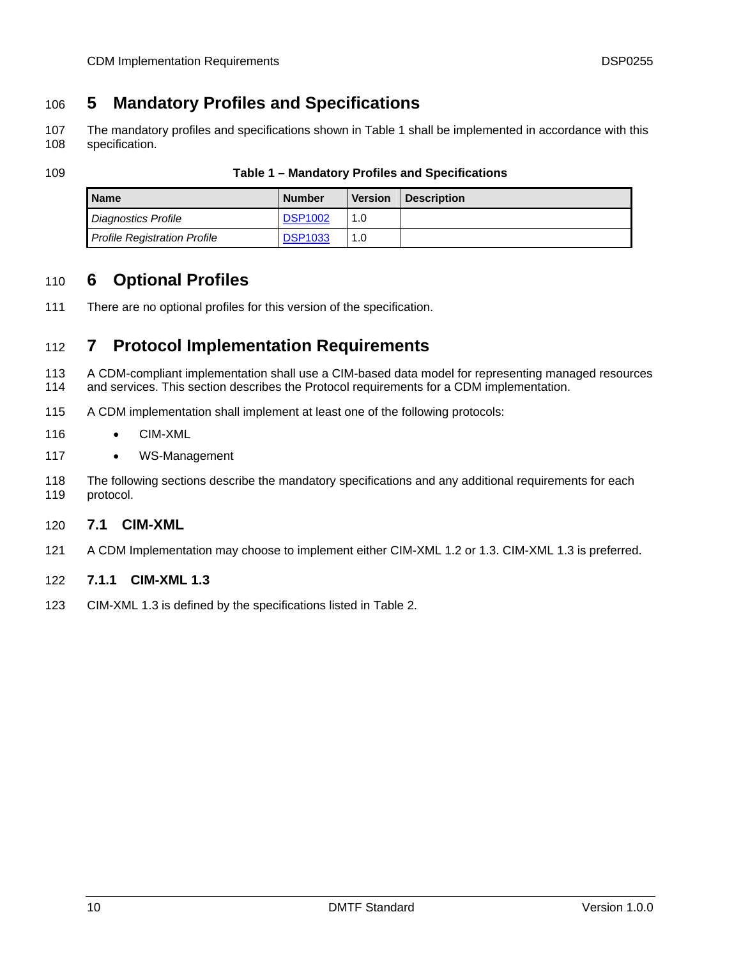### <span id="page-9-0"></span>106 **5 Mandatory Profiles and Specifications**

The mandatory profiles and specifications shown in [Table 1](#page-9-1) shall be implemented in accordance with this specification. 107 108

<span id="page-9-1"></span>

| ٠<br>٩<br>I<br>I<br>۰,<br>×<br>۰.<br>× |
|----------------------------------------|
|----------------------------------------|

#### Table 1 – Mandatory Profiles and Specifications

| <b>Name</b>                         | <b>Number</b>  | <b>Version</b> | <b>Description</b> |
|-------------------------------------|----------------|----------------|--------------------|
| <b>Diagnostics Profile</b>          | <b>DSP1002</b> | 1.0            |                    |
| <b>Profile Registration Profile</b> | <b>DSP1033</b> | 1.0            |                    |

### 110 **6 Optional Profiles**

111 There are no optional profiles for this version of the specification.

### 112 **7 Protocol Implementation Requirements**

- 113 114 A CDM-compliant implementation shall use a CIM-based data model for representing managed resources and services. This section describes the Protocol requirements for a CDM implementation.
- 115 A CDM implementation shall implement at least one of the following protocols:
- 116 • CIM-XML
- 117 • WS-Management
- 118 119 The following sections describe the mandatory specifications and any additional requirements for each protocol.

#### 120 **7.1 CIM-XML**

- 121 A CDM Implementation may choose to implement either CIM-XML 1.2 or 1.3. CIM-XML 1.3 is preferred.
- 122 **7.1.1 CIM-XML 1.3**
- 123 CIM-XML 1.3 is defined by the specifications listed in [Table 2](#page-10-1).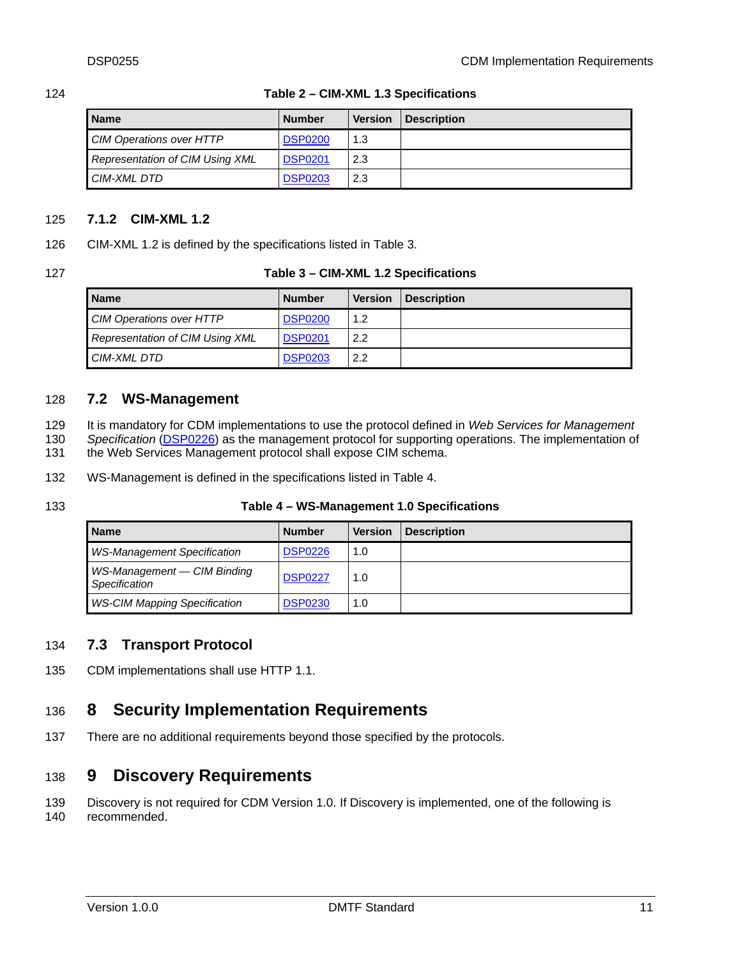| Name                            | <b>Number</b>  | <b>Version</b> | <b>Description</b> |
|---------------------------------|----------------|----------------|--------------------|
| <b>CIM Operations over HTTP</b> | <b>DSP0200</b> | 1.3            |                    |
| Representation of CIM Using XML | <b>DSP0201</b> | 2.3            |                    |
| CIM-XML DTD                     | <b>DSP0203</b> | 2.3            |                    |

#### <span id="page-10-1"></span><span id="page-10-0"></span>124 **Table 2 – CIM-XML 1.3 Specifications**

### 125 **7.1.2 CIM-XML 1.2**

126 CIM-XML 1.2 is defined by the specifications listed in [Table 3](#page-10-2).

<span id="page-10-2"></span>

| 127 | Table 3 – CIM-XML 1.2 Specifications |
|-----|--------------------------------------|
|-----|--------------------------------------|

| <b>Name</b>                     | <b>Number</b>  | <b>Version</b> | <b>Description</b> |
|---------------------------------|----------------|----------------|--------------------|
| <b>CIM Operations over HTTP</b> | <b>DSP0200</b> | 1.2            |                    |
| Representation of CIM Using XML | <b>DSP0201</b> | 2.2            |                    |
| CIM-XML DTD                     | <b>DSP0203</b> | 2.2            |                    |

#### 128 **7.2 WS-Management**

It is mandatory for CDM implementations to use the protocol defined in *Web Services for Management*  129

Specification (**DSP0226**) as the management protocol for supporting operations. The implementation of the Web Services Management protocol shall expose CIM schema. 130 131

- 
- 132 WS-Management is defined in the specifications listed in [Table 4](#page-10-3).
- <span id="page-10-3"></span>133

#### **Table 4 – WS-Management 1.0 Specifications**

| <b>Name</b>                                  | <b>Number</b>  | <b>Version</b> | <b>Description</b> |
|----------------------------------------------|----------------|----------------|--------------------|
| <b>WS-Management Specification</b>           | <b>DSP0226</b> | 1.0            |                    |
| WS-Management - CIM Binding<br>Specification | <b>DSP0227</b> | 1.0            |                    |
| <b>WS-CIM Mapping Specification</b>          | <b>DSP0230</b> | 1.0            |                    |

### 134 **7.3 Transport Protocol**

135 CDM implementations shall use HTTP 1.1.

### 136 **8 Security Implementation Requirements**

137 There are no additional requirements beyond those specified by the protocols.

### 138 **9 Discovery Requirements**

139 140 Discovery is not required for CDM Version 1.0. If Discovery is implemented, one of the following is recommended.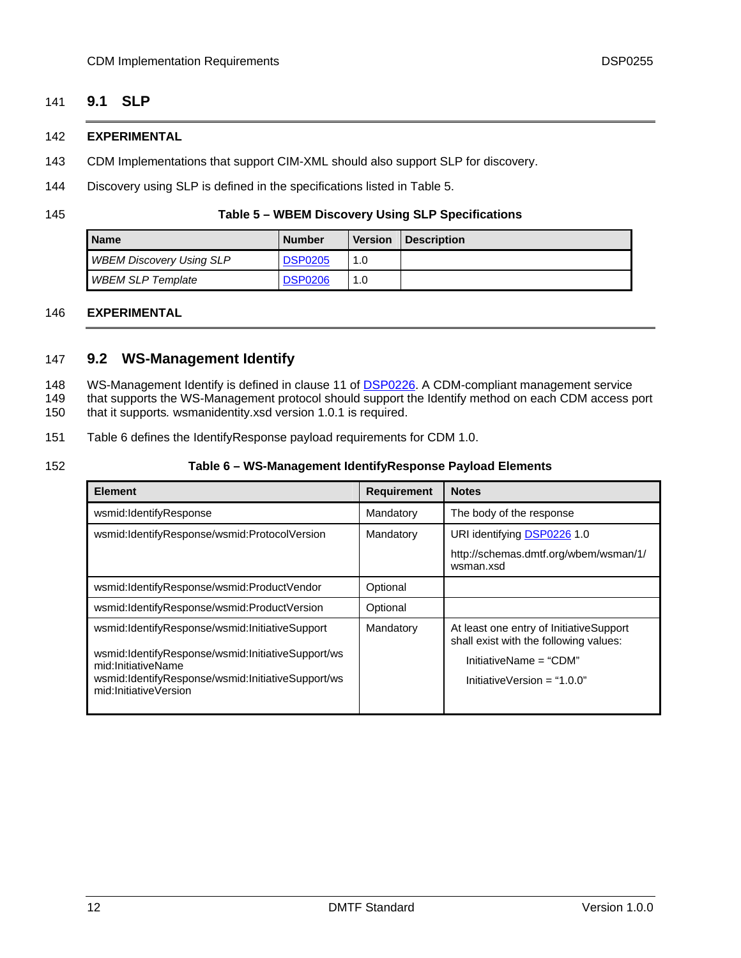### <span id="page-11-0"></span>141 **9.1 SLP**

#### 142 **EXPERIMENTAL**

- 143 CDM Implementations that support CIM-XML should also support SLP for discovery.
- 144 Discovery using SLP is defined in the specifications listed in [Table 5.](#page-11-1)

<span id="page-11-1"></span>145

#### **Table 5 – WBEM Discovery Using SLP Specifications**

| l Name                          | <b>Number</b>  | <b>Version</b> | <b>Description</b> |
|---------------------------------|----------------|----------------|--------------------|
| <b>WBEM Discovery Using SLP</b> | <b>DSP0205</b> | 1.0            |                    |
| <b>WBEM SLP Template</b>        | <b>DSP0206</b> | 1.0            |                    |

### 146 **EXPERIMENTAL**

### 147 **9.2 WS-Management Identify**

- WS-Management Identify is defined in clause 11 of **DSP0226**. A CDM-compliant management service 148
- that supports the WS-Management protocol should support the Identify method on each CDM access port 149
- that it supports*.* wsmanidentity.xsd version 1.0.1 is required. 150
- 151 [Table 6](#page-11-2) defines the IdentifyResponse payload requirements for CDM 1.0.
- <span id="page-11-2"></span>152

### **Table 6 – WS-Management IdentifyResponse Payload Elements**

| <b>Element</b>                                                                                                                                                                                          | <b>Requirement</b>   | <b>Notes</b>                                                                                                                               |
|---------------------------------------------------------------------------------------------------------------------------------------------------------------------------------------------------------|----------------------|--------------------------------------------------------------------------------------------------------------------------------------------|
| wsmid:IdentifyResponse                                                                                                                                                                                  | Mandatory            | The body of the response                                                                                                                   |
| wsmid:IdentifyResponse/wsmid:ProtocolVersion                                                                                                                                                            | Mandatory            | URI identifying DSP0226 1.0<br>http://schemas.dmtf.org/wbem/wsman/1/<br>wsman.xsd                                                          |
| wsmid:IdentifyResponse/wsmid:ProductVendor<br>wsmid:IdentifyResponse/wsmid:ProductVersion                                                                                                               | Optional<br>Optional |                                                                                                                                            |
| wsmid:IdentifyResponse/wsmid:InitiativeSupport<br>wsmid:IdentifyResponse/wsmid:InitiativeSupport/ws<br>mid:InitiativeName<br>wsmid:IdentifyResponse/wsmid:InitiativeSupport/ws<br>mid:InitiativeVersion | Mandatory            | At least one entry of InitiativeSupport<br>shall exist with the following values:<br>InitiativeName = "CDM"<br>InitiativeVersion = "1.0.0" |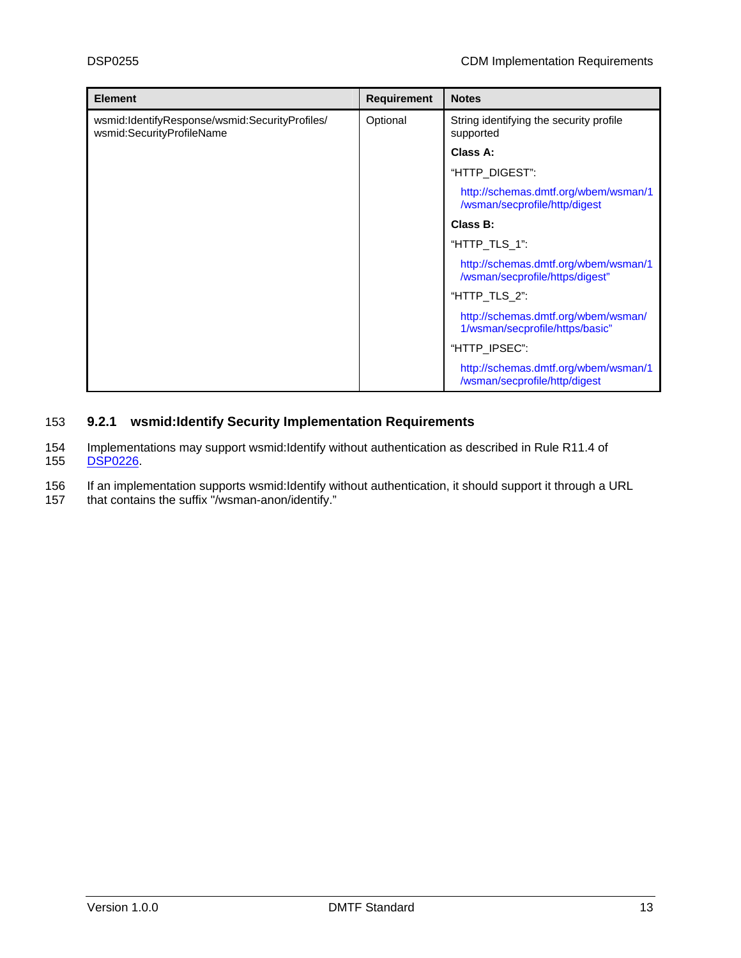| <b>Element</b>                                                              | <b>Requirement</b> | <b>Notes</b>                                                            |
|-----------------------------------------------------------------------------|--------------------|-------------------------------------------------------------------------|
| wsmid:IdentifyResponse/wsmid:SecurityProfiles/<br>wsmid:SecurityProfileName | Optional           | String identifying the security profile<br>supported                    |
|                                                                             |                    | Class A:                                                                |
|                                                                             |                    | "HTTP_DIGEST":                                                          |
|                                                                             |                    | http://schemas.dmtf.org/wbem/wsman/1<br>/wsman/secprofile/http/digest   |
|                                                                             |                    | Class B:                                                                |
|                                                                             |                    | "HTTP TLS 1":                                                           |
|                                                                             |                    | http://schemas.dmtf.org/wbem/wsman/1<br>/wsman/secprofile/https/digest" |
|                                                                             |                    | "HTTP_TLS_2":                                                           |
|                                                                             |                    | http://schemas.dmtf.org/wbem/wsman/<br>1/wsman/secprofile/https/basic"  |
|                                                                             |                    | "HTTP_IPSEC":                                                           |
|                                                                             |                    | http://schemas.dmtf.org/wbem/wsman/1<br>/wsman/secprofile/http/digest   |

### 153 **9.2.1 wsmid:Identify Security Implementation Requirements**

154 Implementations may support wsmid:Identify without authentication as described in Rule R11.4 of 155 [DSP0226.](#page-6-0)

- 156 If an implementation supports wsmid:Identify without authentication, it should support it through a URL
- 157 that contains the suffix "/wsman-anon/identify."